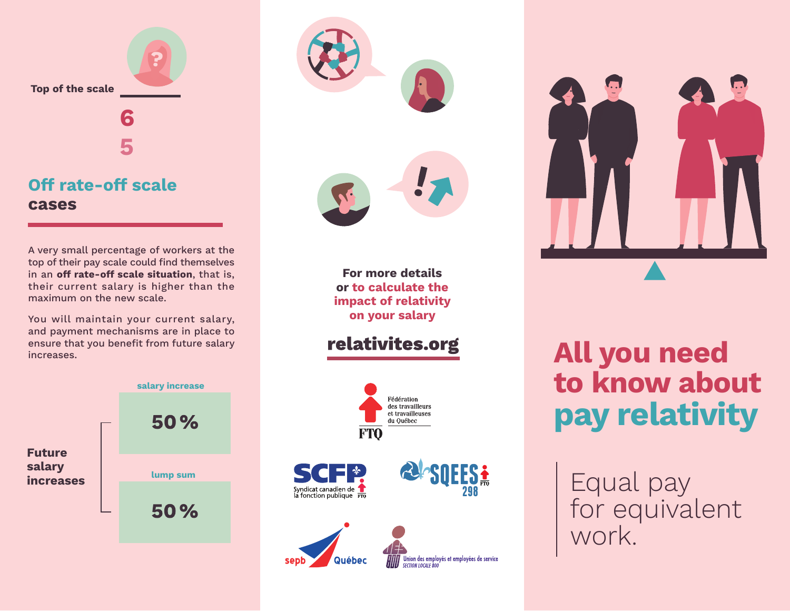

## **Off rate-off scale cases**

A very small percentage of workers at the top of their pay scale could find themselves in an **off rate-off scale situation**, that is, their current salary is higher than the maximum on the new scale.

You will maintain your current salary, and payment mechanisms are in place to ensure that you benefit from future salary increases.





**For more details or to calculate the impact of relativity on your salary**

relativites.org





## **All you need to know about pay relativity**

Equal pay for equivalent work.